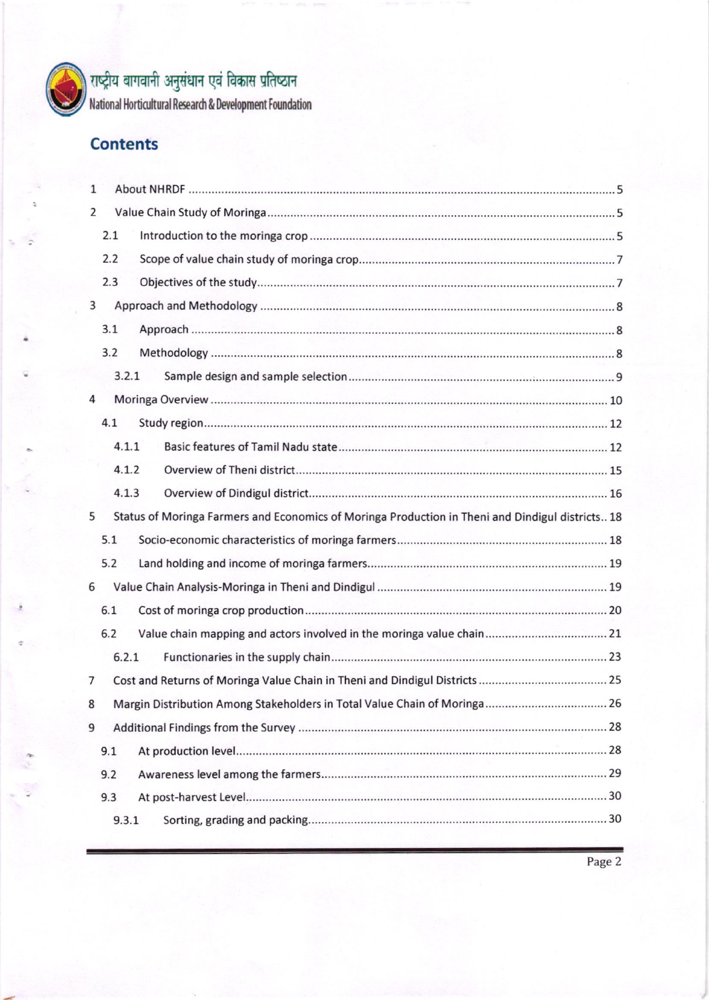

# राष्ट्रीय वागवानी अनुसंधान एवं विकास प्रतिष्ठान

l,lational lhrtirultural Re\*ard & Development twndalion

## **Contents**

| 1 |                                                                                                  |                                                                           |  |  |  |
|---|--------------------------------------------------------------------------------------------------|---------------------------------------------------------------------------|--|--|--|
| 2 |                                                                                                  |                                                                           |  |  |  |
|   | 2.1                                                                                              |                                                                           |  |  |  |
|   | 2.2                                                                                              |                                                                           |  |  |  |
|   | 2.3                                                                                              |                                                                           |  |  |  |
| 3 |                                                                                                  |                                                                           |  |  |  |
|   | 3.1                                                                                              |                                                                           |  |  |  |
|   | 3.2                                                                                              |                                                                           |  |  |  |
|   | 3.2.1                                                                                            |                                                                           |  |  |  |
| 4 |                                                                                                  |                                                                           |  |  |  |
|   | 4.1                                                                                              |                                                                           |  |  |  |
|   | 4.1.1                                                                                            |                                                                           |  |  |  |
|   | 4.1.2                                                                                            |                                                                           |  |  |  |
|   | 4.1.3                                                                                            |                                                                           |  |  |  |
| 5 | Status of Moringa Farmers and Economics of Moringa Production in Theni and Dindigul districts 18 |                                                                           |  |  |  |
|   | 5.1                                                                                              |                                                                           |  |  |  |
|   | 5.2                                                                                              |                                                                           |  |  |  |
| 6 |                                                                                                  |                                                                           |  |  |  |
|   | 6.1                                                                                              |                                                                           |  |  |  |
|   | 6.2                                                                                              |                                                                           |  |  |  |
|   | 6.2.1                                                                                            |                                                                           |  |  |  |
| 7 |                                                                                                  |                                                                           |  |  |  |
| 8 |                                                                                                  | Margin Distribution Among Stakeholders in Total Value Chain of Moringa 26 |  |  |  |
| 9 |                                                                                                  |                                                                           |  |  |  |
|   | 9.1                                                                                              |                                                                           |  |  |  |
|   | 9.2                                                                                              |                                                                           |  |  |  |
|   | 9.3                                                                                              |                                                                           |  |  |  |
|   | 9.3.1                                                                                            |                                                                           |  |  |  |
|   |                                                                                                  |                                                                           |  |  |  |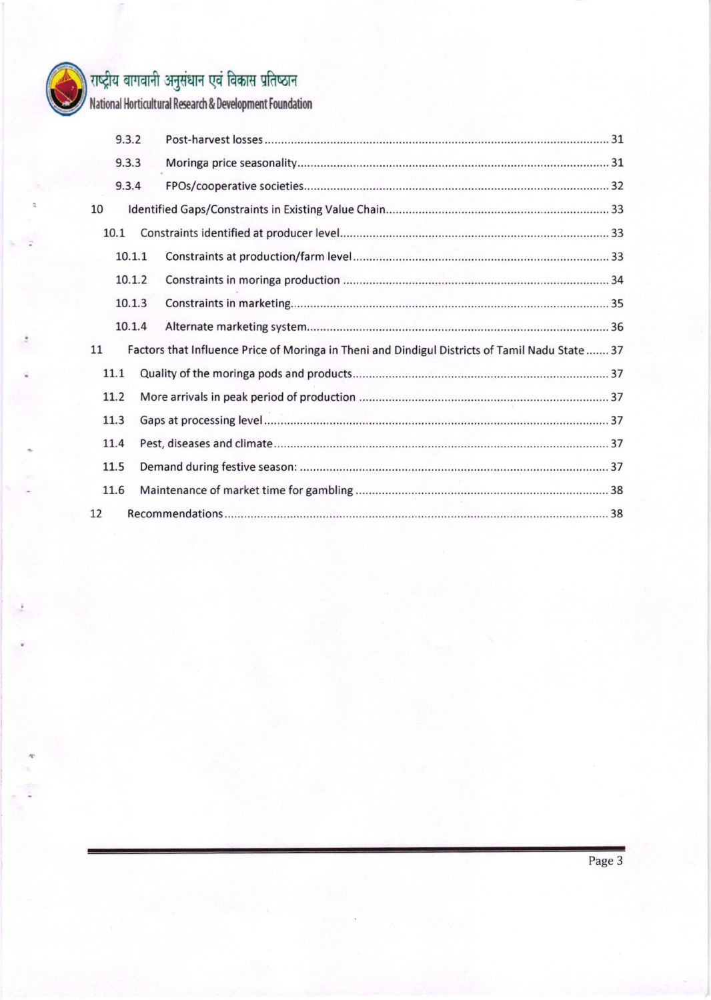

# )<br>| राष्ट्रीय बागवानी अनुसंधान एवं विकास प्रतिष्ठान<br>| National Horticultural Research & Development Foundation

|    | 9.3.2  |                                                                                                 |  |
|----|--------|-------------------------------------------------------------------------------------------------|--|
|    | 9.3.3  |                                                                                                 |  |
|    | 9.3.4  |                                                                                                 |  |
| 10 |        |                                                                                                 |  |
|    | 10.1   |                                                                                                 |  |
|    | 10.1.1 |                                                                                                 |  |
|    | 10.1.2 |                                                                                                 |  |
|    | 10.1.3 |                                                                                                 |  |
|    | 10.1.4 |                                                                                                 |  |
| 11 |        | Factors that Influence Price of Moringa in Theni and Dindigul Districts of Tamil Nadu State  37 |  |
|    | 11.1   |                                                                                                 |  |
|    | 11.2   |                                                                                                 |  |
|    | 11.3   |                                                                                                 |  |
|    | 11.4   |                                                                                                 |  |
|    | 11.5   |                                                                                                 |  |
|    | 11.6   |                                                                                                 |  |
| 12 |        |                                                                                                 |  |